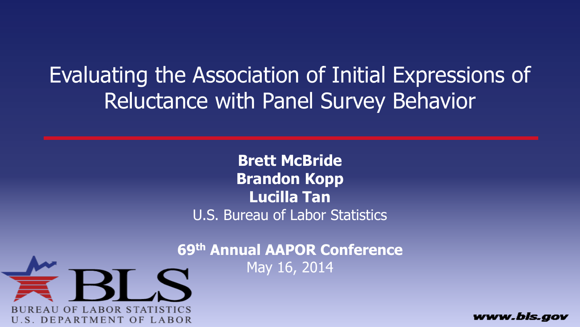Evaluating the Association of Initial Expressions of Reluctance with Panel Survey Behavior

> **Brett McBride Brandon Kopp Lucilla Tan** U.S. Bureau of Labor Statistics

**69th Annual AAPOR Conference** May 16, 2014



www.bls.gov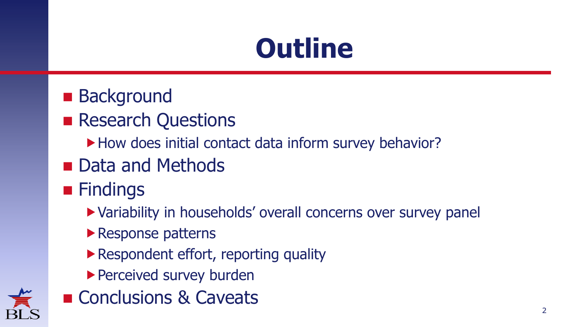# **Outline**

- **Background**
- **Research Questions** 
	- How does initial contact data inform survey behavior?
- **Data and Methods**
- **Findings** 
	- Variability in households' overall concerns over survey panel
	- ▶ Response patterns
	- ▶ Respondent effort, reporting quality
	- ▶ Perceived survey burden
- Conclusions & Caveats

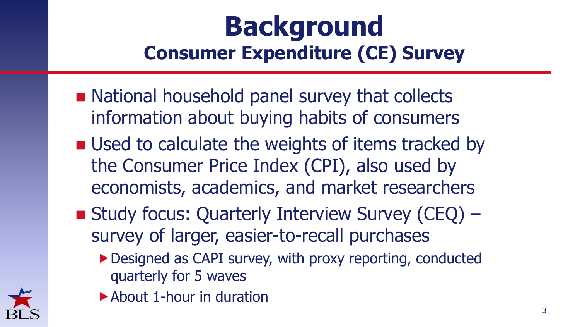### **Background Consumer Expenditure (CE) Survey**

- National household panel survey that collects information about buying habits of consumers
- **Used to calculate the weights of items tracked by** the Consumer Price Index (CPI), also used by economists, academics, and market researchers
- Study focus: Quarterly Interview Survey (CEQ) survey of larger, easier-to-recall purchases
	- ▶ Designed as CAPI survey, with proxy reporting, conducted quarterly for 5 waves



▶ About 1-hour in duration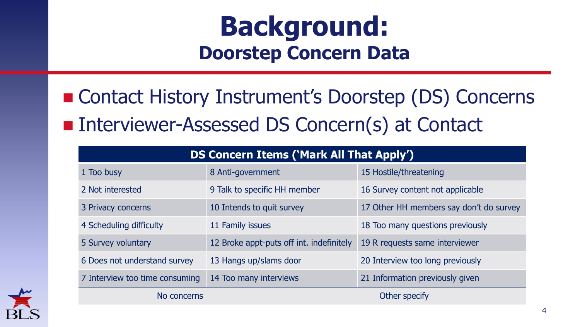### **Background: Doorstep Concern Data**

■ Contact History Instrument's Doorstep (DS) Concerns ■ Interviewer-Assessed DS Concern(s) at Contact

| <b>DS Concern Items ('Mark All That Apply')</b> |                                          |               |                                         |  |
|-------------------------------------------------|------------------------------------------|---------------|-----------------------------------------|--|
| 1 Too busy                                      | 8 Anti-government                        |               | 15 Hostile/threatening                  |  |
| 2 Not interested                                | 9 Talk to specific HH member             |               | 16 Survey content not applicable        |  |
| 3 Privacy concerns                              | 10 Intends to quit survey                |               | 17 Other HH members say don't do survey |  |
| 4 Scheduling difficulty                         | 11 Family issues                         |               | 18 Too many questions previously        |  |
| 5 Survey voluntary                              | 12 Broke appt-puts off int. indefinitely |               | 19 R requests same interviewer          |  |
| 6 Does not understand survey                    | 13 Hangs up/slams door                   |               | 20 Interview too long previously        |  |
| 7 Interview too time consuming                  | 14 Too many interviews                   |               | 21 Information previously given         |  |
| No concerns                                     |                                          | Other specify |                                         |  |

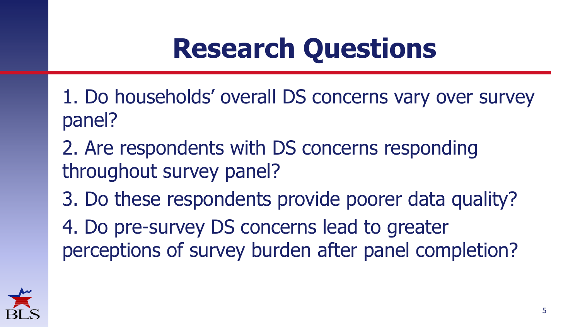# **Research Questions**

- 1. Do households' overall DS concerns vary over survey panel?
- 2. Are respondents with DS concerns responding throughout survey panel?
- 3. Do these respondents provide poorer data quality?
- 4. Do pre-survey DS concerns lead to greater perceptions of survey burden after panel completion?

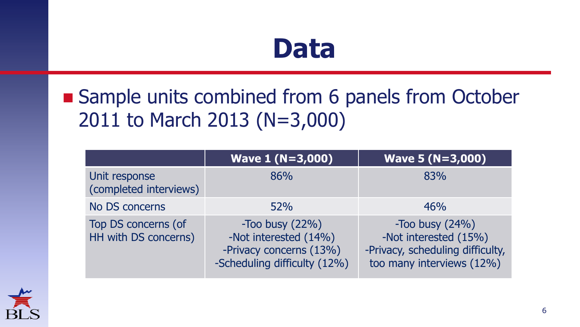## **Data**

### ■ Sample units combined from 6 panels from October 2011 to March 2013 (N=3,000)

|                                             | <b>Wave 1 (N=3,000)</b>                                                                               | <b>Wave 5 (N=3,000)</b>                                                                                        |
|---------------------------------------------|-------------------------------------------------------------------------------------------------------|----------------------------------------------------------------------------------------------------------------|
| Unit response<br>(completed interviews)     | 86%                                                                                                   | 83%                                                                                                            |
| No DS concerns                              | 52%                                                                                                   | 46%                                                                                                            |
| Top DS concerns (of<br>HH with DS concerns) | -Too busy $(22%)$<br>-Not interested (14%)<br>-Privacy concerns (13%)<br>-Scheduling difficulty (12%) | $-$ Too busy $(24%)$<br>-Not interested (15%)<br>-Privacy, scheduling difficulty,<br>too many interviews (12%) |

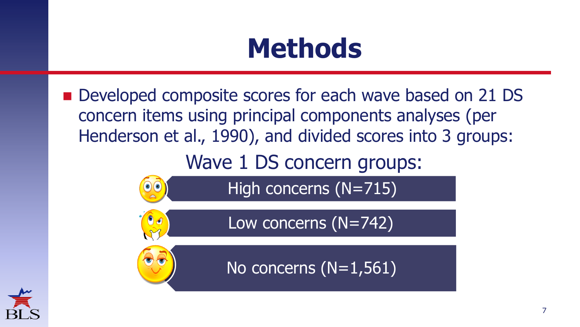## **Methods**

■ Developed composite scores for each wave based on 21 DS concern items using principal components analyses (per Henderson et al., 1990), and divided scores into 3 groups:

Wave 1 DS concern groups:

High concerns (N=715)

Low concerns (N=742)



No concerns (N=1,561)

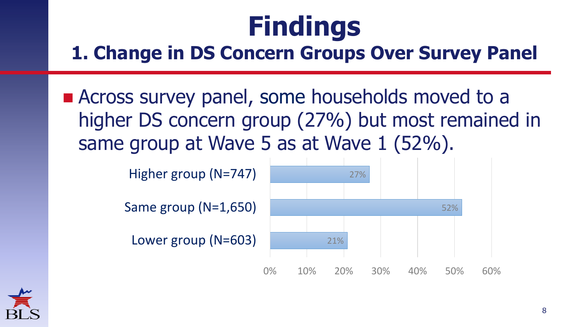### **1. Change in DS Concern Groups Over Survey Panel**

**Example 2 Across survey panel, some households moved to a** higher DS concern group (27%) but most remained in same group at Wave 5 as at Wave 1 (52%).

Higher group (N=747)

Same group (N=1,650)

Lower group (N=603)



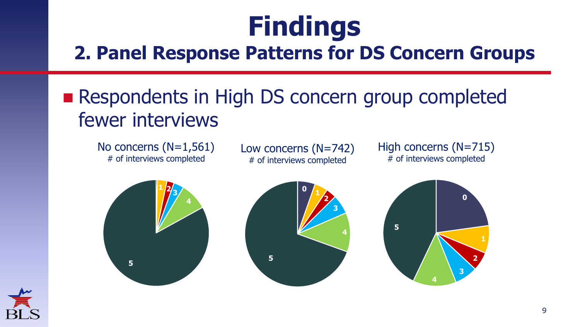#### **2. Panel Response Patterns for DS Concern Groups**

### ■ Respondents in High DS concern group completed fewer interviews

No concerns (N=1,561) # of interviews completed

Low concerns (N=742) # of interviews completed

High concerns (N=715) # of interviews completed







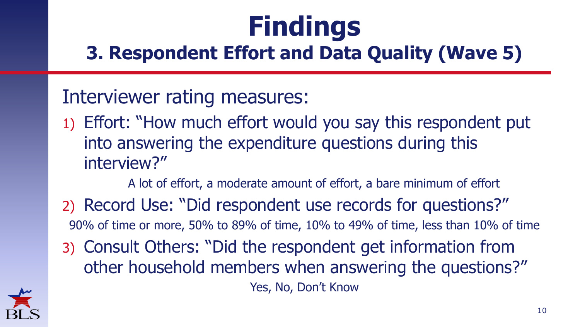### **3. Respondent Effort and Data Quality (Wave 5)**

#### Interviewer rating measures:

1) Effort: "How much effort would you say this respondent put into answering the expenditure questions during this interview?"

A lot of effort, a moderate amount of effort, a bare minimum of effort

- 2) Record Use: "Did respondent use records for questions?" 90% of time or more, 50% to 89% of time, 10% to 49% of time, less than 10% of time
- 3) Consult Others: "Did the respondent get information from other household members when answering the questions?" Yes, No, Don't Know

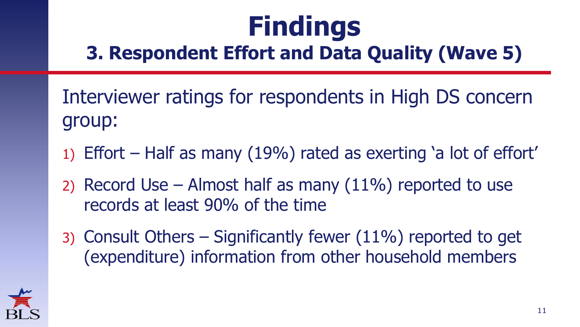### **3. Respondent Effort and Data Quality (Wave 5)**

Interviewer ratings for respondents in High DS concern group:

- 1) Effort Half as many (19%) rated as exerting 'a lot of effort'
- 2) Record Use Almost half as many  $(11\%)$  reported to use records at least 90% of the time
- 3) Consult Others Significantly fewer (11%) reported to get (expenditure) information from other household members

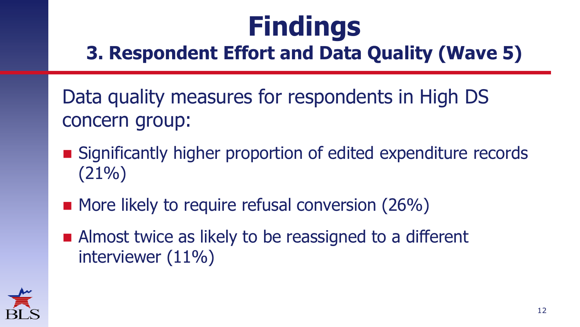### **3. Respondent Effort and Data Quality (Wave 5)**

Data quality measures for respondents in High DS concern group:

- Significantly higher proportion of edited expenditure records (21%)
- More likely to require refusal conversion (26%)
- Almost twice as likely to be reassigned to a different interviewer (11%)

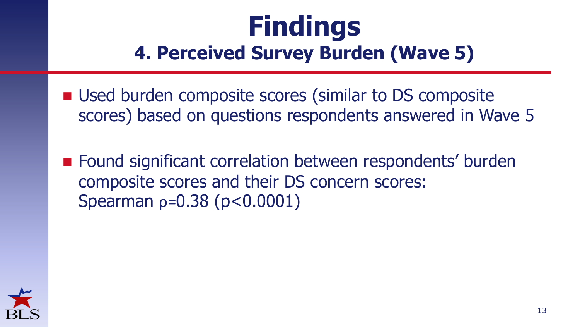### **Findings 4. Perceived Survey Burden (Wave 5)**

- Used burden composite scores (similar to DS composite scores) based on questions respondents answered in Wave 5
- Found significant correlation between respondents' burden composite scores and their DS concern scores: Spearman ρ=0.38 (p<0.0001)

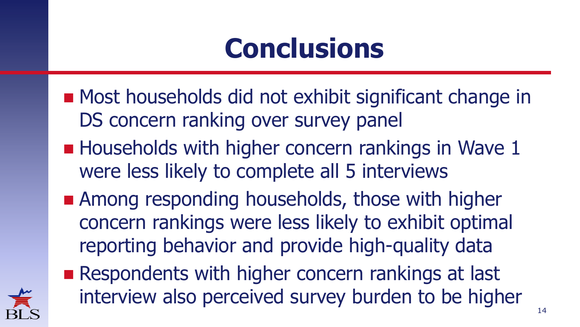## **Conclusions**

- Most households did not exhibit significant change in DS concern ranking over survey panel
- **Households with higher concern rankings in Wave 1** were less likely to complete all 5 interviews
- **Among responding households, those with higher** concern rankings were less likely to exhibit optimal reporting behavior and provide high-quality data
- Respondents with higher concern rankings at last interview also perceived survey burden to be higher

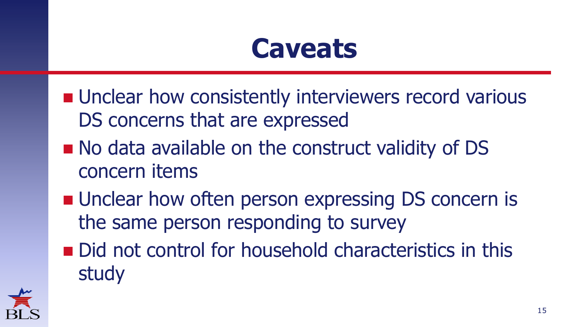## **Caveats**

- **Unclear how consistently interviewers record various** DS concerns that are expressed
- No data available on the construct validity of DS concern items
- **Unclear how often person expressing DS concern is** the same person responding to survey
- Did not control for household characteristics in this study

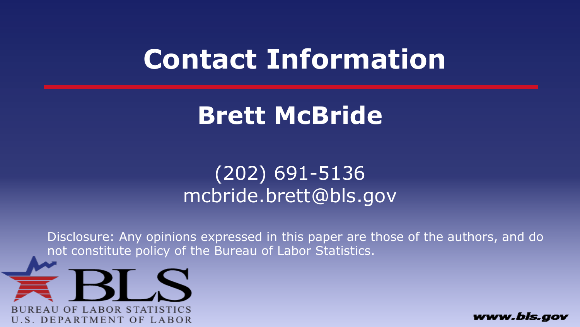## **Contact Information**

### **Brett McBride**

### (202) 691-5136 mcbride.brett@bls.gov

Disclosure: Any opinions expressed in this paper are those of the authors, and do not constitute policy of the Bureau of Labor Statistics.



www.bls.aov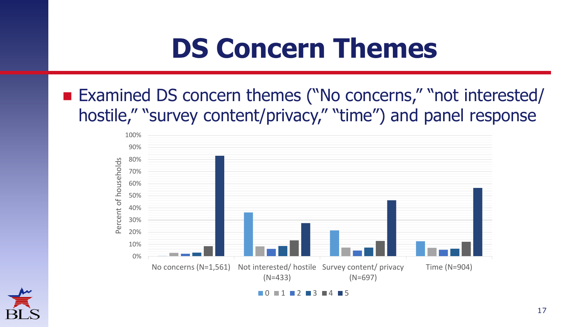## **DS Concern Themes**

■ Examined DS concern themes ("No concerns," "not interested/ hostile," "survey content/privacy," "time") and panel response